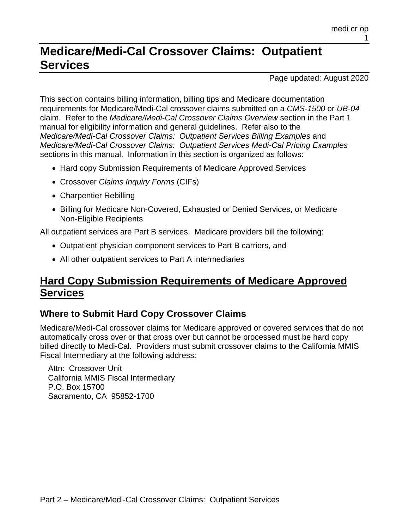# **Medicare/Medi-Cal Crossover Claims: Outpatient Services**

Page updated: August 2020

This section contains billing information, billing tips and Medicare documentation requirements for Medicare/Medi-Cal crossover claims submitted on a *CMS-1500* or *UB-04* claim. Refer to the *Medicare/Medi-Cal Crossover Claims Overview* section in the Part 1 manual for eligibility information and general guidelines. Refer also to the *Medicare/Medi-Cal Crossover Claims: Outpatient Services Billing Examples* and *Medicare/Medi-Cal Crossover Claims: Outpatient Services Medi-Cal Pricing Examples* sections in this manual. Information in this section is organized as follows:

- Hard copy Submission Requirements of Medicare Approved Services
- Crossover *Claims Inquiry Forms* (CIFs)
- Charpentier Rebilling
- Billing for Medicare Non-Covered, Exhausted or Denied Services, or Medicare Non-Eligible Recipients

All outpatient services are Part B services. Medicare providers bill the following:

- Outpatient physician component services to Part B carriers, and
- All other outpatient services to Part A intermediaries

# **Hard Copy Submission Requirements of Medicare Approved Services**

# **Where to Submit Hard Copy Crossover Claims**

Medicare/Medi-Cal crossover claims for Medicare approved or covered services that do not automatically cross over or that cross over but cannot be processed must be hard copy billed directly to Medi-Cal. Providers must submit crossover claims to the California MMIS Fiscal Intermediary at the following address:

Attn: Crossover Unit California MMIS Fiscal Intermediary P.O. Box 15700 Sacramento, CA 95852-1700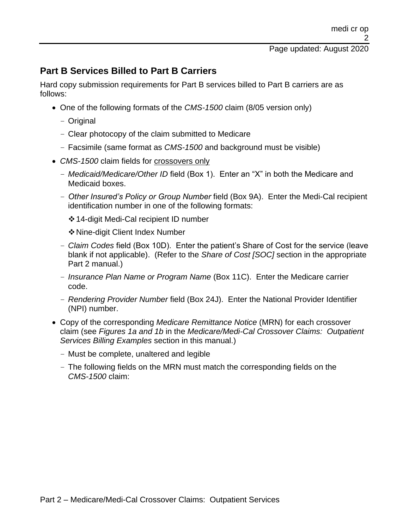# **Part B Services Billed to Part B Carriers**

Hard copy submission requirements for Part B services billed to Part B carriers are as follows:

- One of the following formats of the *CMS-1500* claim (8/05 version only)
	- Original
	- Clear photocopy of the claim submitted to Medicare
	- Facsimile (same format as *CMS-1500* and background must be visible)
- *CMS-1500* claim fields for *crossovers* only
	- *Medicaid/Medicare/Other ID* field (Box 1). Enter an "X" in both the Medicare and Medicaid boxes.
	- *Other Insured's Policy or Group Number* field (Box 9A). Enter the Medi-Cal recipient identification number in one of the following formats:
		- ❖14-digit Medi-Cal recipient ID number
		- ❖Nine-digit Client Index Number
	- *Claim Codes* field (Box 10D). Enter the patient's Share of Cost for the service (leave blank if not applicable). (Refer to the *Share of Cost [SOC]* section in the appropriate Part 2 manual.)
	- *Insurance Plan Name or Program Name* (Box 11C). Enter the Medicare carrier code.
	- *Rendering Provider Number* field (Box 24J). Enter the National Provider Identifier (NPI) number.
- Copy of the corresponding *Medicare Remittance Notice* (MRN) for each crossover claim (see *Figures 1a and 1b* in the *Medicare/Medi-Cal Crossover Claims: Outpatient Services Billing Examples* section in this manual.)
	- Must be complete, unaltered and legible
	- The following fields on the MRN must match the corresponding fields on the *CMS-1500* claim: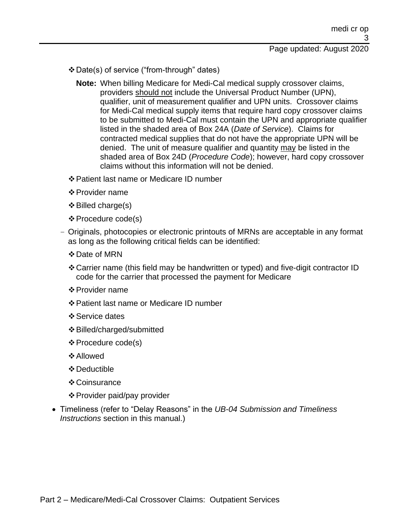- ❖Date(s) of service ("from-through" dates)
	- **Note:** When billing Medicare for Medi-Cal medical supply crossover claims, providers should not include the Universal Product Number (UPN), qualifier, unit of measurement qualifier and UPN units. Crossover claims for Medi-Cal medical supply items that require hard copy crossover claims to be submitted to Medi-Cal must contain the UPN and appropriate qualifier listed in the shaded area of Box 24A (*Date of Service*). Claims for contracted medical supplies that do not have the appropriate UPN will be denied. The unit of measure qualifier and quantity may be listed in the shaded area of Box 24D (*Procedure Code*); however, hard copy crossover claims without this information will not be denied.
- ❖Patient last name or Medicare ID number
- ❖Provider name
- $\div$  Billed charge(s)
- ❖Procedure code(s)
- Originals, photocopies or electronic printouts of MRNs are acceptable in any format as long as the following critical fields can be identified:
	- ❖Date of MRN
	- ❖Carrier name (this field may be handwritten or typed) and five-digit contractor ID code for the carrier that processed the payment for Medicare
	- ❖Provider name
	- ❖Patient last name or Medicare ID number
	- ❖Service dates
	- ❖Billed/charged/submitted
	- ❖Procedure code(s)
	- ❖Allowed
	- ❖Deductible
	- ❖Coinsurance
	- ❖Provider paid/pay provider
- Timeliness (refer to "Delay Reasons" in the *UB-04 Submission and Timeliness Instructions* section in this manual.)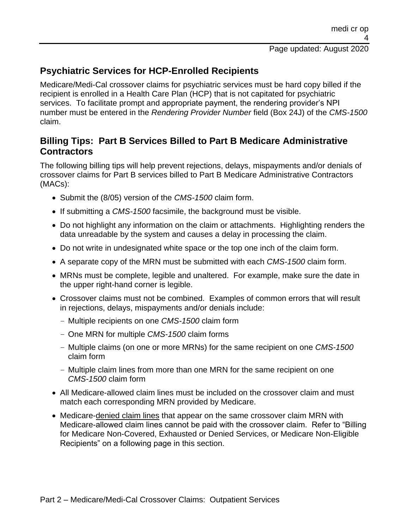# **Psychiatric Services for HCP-Enrolled Recipients**

Medicare/Medi-Cal crossover claims for psychiatric services must be hard copy billed if the recipient is enrolled in a Health Care Plan (HCP) that is not capitated for psychiatric services. To facilitate prompt and appropriate payment, the rendering provider's NPI number must be entered in the *Rendering Provider Number* field (Box 24J) of the *CMS-1500* claim.

# **Billing Tips: Part B Services Billed to Part B Medicare Administrative Contractors**

The following billing tips will help prevent rejections, delays, mispayments and/or denials of crossover claims for Part B services billed to Part B Medicare Administrative Contractors (MACs):

- Submit the (8/05) version of the *CMS-1500* claim form.
- If submitting a *CMS-1500* facsimile, the background must be visible.
- Do not highlight any information on the claim or attachments. Highlighting renders the data unreadable by the system and causes a delay in processing the claim.
- Do not write in undesignated white space or the top one inch of the claim form.
- A separate copy of the MRN must be submitted with each *CMS-1500* claim form.
- MRNs must be complete, legible and unaltered. For example, make sure the date in the upper right-hand corner is legible.
- Crossover claims must not be combined. Examples of common errors that will result in rejections, delays, mispayments and/or denials include:
	- Multiple recipients on one *CMS-1500* claim form
	- One MRN for multiple *CMS-1500* claim forms
	- Multiple claims (on one or more MRNs) for the same recipient on one *CMS-1500* claim form
	- Multiple claim lines from more than one MRN for the same recipient on one *CMS-1500* claim form
- All Medicare-allowed claim lines must be included on the crossover claim and must match each corresponding MRN provided by Medicare.
- Medicare-denied claim lines that appear on the same crossover claim MRN with Medicare-allowed claim lines cannot be paid with the crossover claim. Refer to "Billing for Medicare Non-Covered, Exhausted or Denied Services, or Medicare Non-Eligible Recipients" on a following page in this section.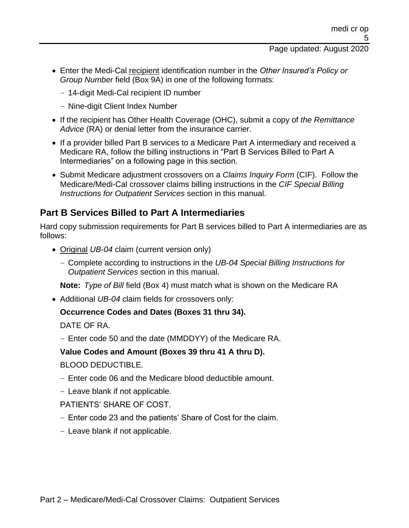- Enter the Medi-Cal recipient identification number in the *Other Insured's Policy or Group Number* field (Box 9A) in one of the following formats:
	- 14-digit Medi-Cal recipient ID number
	- Nine-digit Client Index Number
- If the recipient has Other Health Coverage (OHC), submit a copy of *the Remittance Advice* (RA) or denial letter from the insurance carrier.
- If a provider billed Part B services to a Medicare Part A intermediary and received a Medicare RA, follow the billing instructions in "Part B Services Billed to Part A Intermediaries" on a following page in this section.
- Submit Medicare adjustment crossovers on a *Claims Inquiry Form* (CIF). Follow the Medicare/Medi-Cal crossover claims billing instructions in the *CIF Special Billing Instructions for Outpatient Services* section in this manual.

# **Part B Services Billed to Part A Intermediaries**

Hard copy submission requirements for Part B services billed to Part A intermediaries are as follows:

- Original *UB-04* claim (current version only)
	- Complete according to instructions in the *UB-04 Special Billing Instructions for Outpatient Services* section in this manual.

**Note:** *Type of Bill* field (Box 4) must match what is shown on the Medicare RA

• Additional *UB-04* claim fields for crossovers only:

## **Occurrence Codes and Dates (Boxes 31 thru 34).**

DATE OF RA.

– Enter code 50 and the date (MMDDYY) of the Medicare RA.

## **Value Codes and Amount (Boxes 39 thru 41 A thru D).**

BLOOD DEDUCTIBLE.

- Enter code 06 and the Medicare blood deductible amount.
- Leave blank if not applicable.

PATIENTS' SHARE OF COST.

- Enter code 23 and the patients' Share of Cost for the claim.
- Leave blank if not applicable.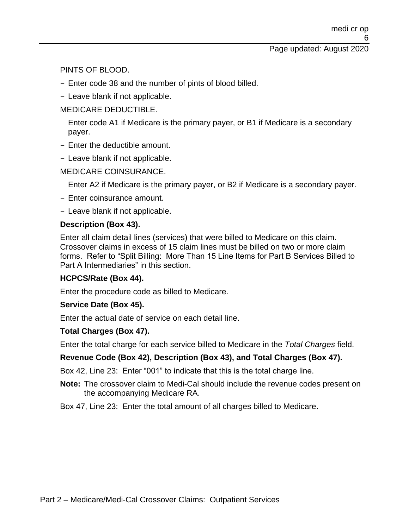PINTS OF BLOOD.

- Enter code 38 and the number of pints of blood billed.
- Leave blank if not applicable.

## MEDICARE DEDUCTIBLE.

- Enter code A1 if Medicare is the primary payer, or B1 if Medicare is a secondary payer.
- Enter the deductible amount.
- Leave blank if not applicable.

## MEDICARE COINSURANCE.

- Enter A2 if Medicare is the primary payer, or B2 if Medicare is a secondary payer.
- Enter coinsurance amount.
- Leave blank if not applicable.

## **Description (Box 43).**

Enter all claim detail lines (services) that were billed to Medicare on this claim. Crossover claims in excess of 15 claim lines must be billed on two or more claim forms. Refer to "Split Billing: More Than 15 Line Items for Part B Services Billed to Part A Intermediaries" in this section.

## **HCPCS/Rate (Box 44).**

Enter the procedure code as billed to Medicare.

## **Service Date (Box 45).**

Enter the actual date of service on each detail line.

### **Total Charges (Box 47).**

Enter the total charge for each service billed to Medicare in the *Total Charges* field.

## **Revenue Code (Box 42), Description (Box 43), and Total Charges (Box 47).**

Box 42, Line 23: Enter "001" to indicate that this is the total charge line.

**Note:** The crossover claim to Medi-Cal should include the revenue codes present on the accompanying Medicare RA.

Box 47, Line 23: Enter the total amount of all charges billed to Medicare.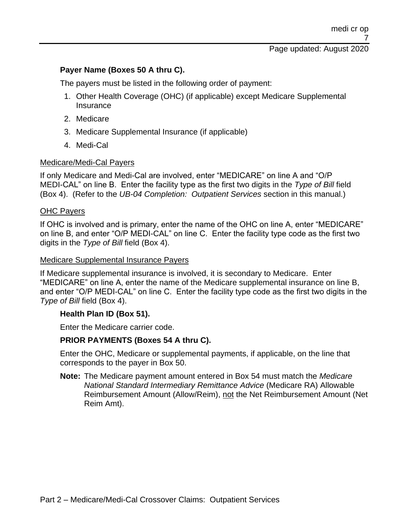### **Payer Name (Boxes 50 A thru C).**

The payers must be listed in the following order of payment:

- 1. Other Health Coverage (OHC) (if applicable) except Medicare Supplemental **Insurance**
- 2. Medicare
- 3. Medicare Supplemental Insurance (if applicable)
- 4. Medi-Cal

### Medicare/Medi-Cal Payers

If only Medicare and Medi-Cal are involved, enter "MEDICARE" on line A and "O/P MEDI-CAL" on line B. Enter the facility type as the first two digits in the *Type of Bill* field (Box 4). (Refer to the *UB-04 Completion: Outpatient Services* section in this manual.)

### **OHC Payers**

If OHC is involved and is primary, enter the name of the OHC on line A, enter "MEDICARE" on line B, and enter "O/P MEDI-CAL" on line C. Enter the facility type code as the first two digits in the *Type of Bill* field (Box 4).

### Medicare Supplemental Insurance Payers

If Medicare supplemental insurance is involved, it is secondary to Medicare. Enter "MEDICARE" on line A, enter the name of the Medicare supplemental insurance on line B, and enter "O/P MEDI-CAL" on line C. Enter the facility type code as the first two digits in the *Type of Bill* field (Box 4).

### **Health Plan ID (Box 51).**

Enter the Medicare carrier code.

### **PRIOR PAYMENTS (Boxes 54 A thru C).**

Enter the OHC, Medicare or supplemental payments, if applicable, on the line that corresponds to the payer in Box 50.

**Note:** The Medicare payment amount entered in Box 54 must match the *Medicare National Standard Intermediary Remittance Advice* (Medicare RA) Allowable Reimbursement Amount (Allow/Reim), not the Net Reimbursement Amount (Net Reim Amt).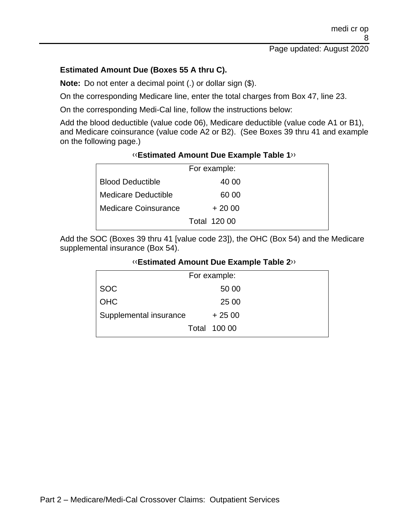## **Estimated Amount Due (Boxes 55 A thru C).**

**Note:** Do not enter a decimal point (.) or dollar sign (\$).

On the corresponding Medicare line, enter the total charges from Box 47, line 23.

On the corresponding Medi-Cal line, follow the instructions below:

Add the blood deductible (value code 06), Medicare deductible (value code A1 or B1), and Medicare coinsurance (value code A2 or B2). (See Boxes 39 thru 41 and example on the following page.)

### [‹‹](#page-26-0)**Estimated Amount Due Example Table 1**[››](#page-26-1)

| For example:               |                     |  |
|----------------------------|---------------------|--|
| <b>Blood Deductible</b>    | 40 00               |  |
| <b>Medicare Deductible</b> | 60 00               |  |
| Medicare Coinsurance       | $+2000$             |  |
|                            | <b>Total 120 00</b> |  |

Add the SOC (Boxes 39 thru 41 [value code 23]), the OHC (Box 54) and the Medicare supplemental insurance (Box 54).

### [‹‹](#page-26-0)**Estimated Amount Due Example Table 2**[››](#page-26-1)

| For example:           |                     |  |
|------------------------|---------------------|--|
| <b>SOC</b>             | 50 00               |  |
| <b>OHC</b>             | 25 00               |  |
| Supplemental insurance | $+2500$             |  |
|                        | <b>Total 100 00</b> |  |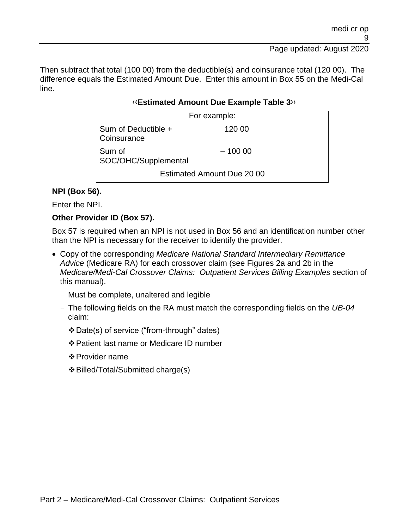Then subtract that total (100 00) from the deductible(s) and coinsurance total (120 00). The difference equals the Estimated Amount Due. Enter this amount in Box 55 on the Medi-Cal line.

### [‹‹](#page-26-0)**Estimated Amount Due Example Table 3**[››](#page-26-1)

| For example:                       |          |  |
|------------------------------------|----------|--|
| Sum of Deductible +<br>Coinsurance | 120 00   |  |
| Sum of<br>SOC/OHC/Supplemental     | $-10000$ |  |
| Estimated Amount Due 20 00         |          |  |

## **NPI (Box 56).**

Enter the NPI.

### **Other Provider ID (Box 57).**

Box 57 is required when an NPI is not used in Box 56 and an identification number other than the NPI is necessary for the receiver to identify the provider.

- Copy of the corresponding *Medicare National Standard Intermediary Remittance Advice* (Medicare RA) for each crossover claim (see Figures 2a and 2b in the *Medicare/Medi-Cal Crossover Claims: Outpatient Services Billing Examples* section of this manual).
	- Must be complete, unaltered and legible
	- The following fields on the RA must match the corresponding fields on the *UB-04* claim:
		- ❖Date(s) of service ("from-through" dates)
		- ❖Patient last name or Medicare ID number
		- ❖Provider name
		- ❖Billed/Total/Submitted charge(s)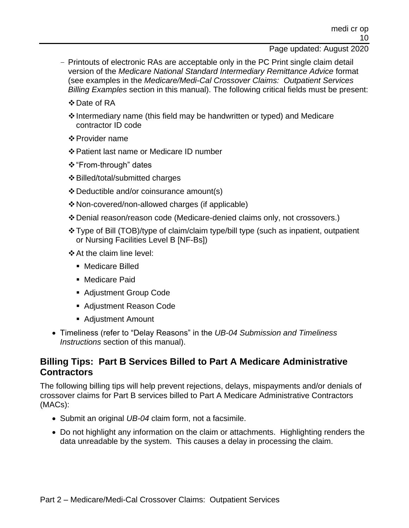- Printouts of electronic RAs are acceptable only in the PC Print single claim detail version of the *Medicare National Standard Intermediary Remittance Advice* format (see examples in the *Medicare/Medi-Cal Crossover Claims: Outpatient Services Billing Examples* section in this manual). The following critical fields must be present:
	- ❖Date of RA
	- ❖Intermediary name (this field may be handwritten or typed) and Medicare contractor ID code
	- ❖Provider name
	- ❖Patient last name or Medicare ID number
	- ❖"From-through" dates
	- ❖Billed/total/submitted charges
	- ❖Deductible and/or coinsurance amount(s)
	- ❖Non-covered/non-allowed charges (if applicable)
	- ❖Denial reason/reason code (Medicare-denied claims only, not crossovers.)
	- ❖Type of Bill (TOB)/type of claim/claim type/bill type (such as inpatient, outpatient or Nursing Facilities Level B [NF-Bs])
	- ❖At the claim line level:
		- Medicare Billed
		- Medicare Paid
		- Adjustment Group Code
		- Adjustment Reason Code
		- Adjustment Amount
- Timeliness (refer to "Delay Reasons" in the *UB-04 Submission and Timeliness Instructions* section of this manual).

## **Billing Tips: Part B Services Billed to Part A Medicare Administrative Contractors**

The following billing tips will help prevent rejections, delays, mispayments and/or denials of crossover claims for Part B services billed to Part A Medicare Administrative Contractors (MACs):

- Submit an original *UB-04* claim form, not a facsimile.
- Do not highlight any information on the claim or attachments. Highlighting renders the data unreadable by the system. This causes a delay in processing the claim.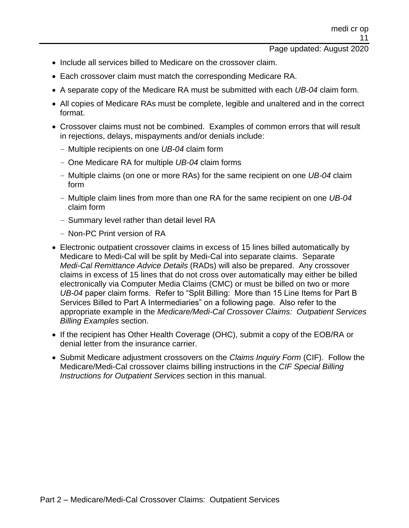- Include all services billed to Medicare on the crossover claim.
- Each crossover claim must match the corresponding Medicare RA.
- A separate copy of the Medicare RA must be submitted with each *UB-04* claim form.
- All copies of Medicare RAs must be complete, legible and unaltered and in the correct format.
- Crossover claims must not be combined. Examples of common errors that will result in rejections, delays, mispayments and/or denials include:
	- Multiple recipients on one *UB-04* claim form
	- One Medicare RA for multiple *UB-04* claim forms
	- Multiple claims (on one or more RAs) for the same recipient on one *UB-04* claim form
	- Multiple claim lines from more than one RA for the same recipient on one *UB-04* claim form
	- Summary level rather than detail level RA
	- Non-PC Print version of RA
- Electronic outpatient crossover claims in excess of 15 lines billed automatically by Medicare to Medi-Cal will be split by Medi-Cal into separate claims. Separate *Medi-Cal Remittance Advice Details* (RADs) will also be prepared. Any crossover claims in excess of 15 lines that do not cross over automatically may either be billed electronically via Computer Media Claims (CMC) or must be billed on two or more *UB-04* paper claim forms. Refer to "Split Billing: More than 15 Line Items for Part B Services Billed to Part A Intermediaries" on a following page. Also refer to the appropriate example in the *Medicare/Medi-Cal Crossover Claims: Outpatient Services Billing Examples* section.
- If the recipient has Other Health Coverage (OHC), submit a copy of the EOB/RA or denial letter from the insurance carrier.
- Submit Medicare adjustment crossovers on the *Claims Inquiry Form* (CIF). Follow the Medicare/Medi-Cal crossover claims billing instructions in the *CIF Special Billing Instructions for Outpatient Services* section in this manual.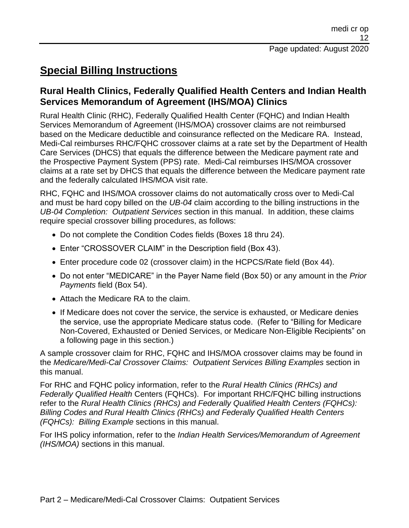# **Special Billing Instructions**

# **Rural Health Clinics, Federally Qualified Health Centers and Indian Health Services Memorandum of Agreement (IHS/MOA) Clinics**

Rural Health Clinic (RHC), Federally Qualified Health Center (FQHC) and Indian Health Services Memorandum of Agreement (IHS/MOA) crossover claims are not reimbursed based on the Medicare deductible and coinsurance reflected on the Medicare RA. Instead, Medi-Cal reimburses RHC/FQHC crossover claims at a rate set by the Department of Health Care Services (DHCS) that equals the difference between the Medicare payment rate and the Prospective Payment System (PPS) rate. Medi-Cal reimburses IHS/MOA crossover claims at a rate set by DHCS that equals the difference between the Medicare payment rate and the federally calculated IHS/MOA visit rate.

RHC, FQHC and IHS/MOA crossover claims do not automatically cross over to Medi-Cal and must be hard copy billed on the *UB-04* claim according to the billing instructions in the *UB-04 Completion: Outpatient Services* section in this manual. In addition, these claims require special crossover billing procedures, as follows:

- Do not complete the Condition Codes fields (Boxes 18 thru 24).
- Enter "CROSSOVER CLAIM" in the Description field (Box 43).
- Enter procedure code 02 (crossover claim) in the HCPCS/Rate field (Box 44).
- Do not enter "MEDICARE" in the Payer Name field (Box 50) or any amount in the *Prior Payments* field (Box 54).
- Attach the Medicare RA to the claim.
- If Medicare does not cover the service, the service is exhausted, or Medicare denies the service, use the appropriate Medicare status code. (Refer to "Billing for Medicare Non-Covered, Exhausted or Denied Services, or Medicare Non-Eligible Recipients" on a following page in this section.)

A sample crossover claim for RHC, FQHC and IHS/MOA crossover claims may be found in the *Medicare/Medi-Cal Crossover Claims: Outpatient Services Billing Examples* section in this manual.

For RHC and FQHC policy information, refer to the *Rural Health Clinics (RHCs) and Federally Qualified Health* Centers (FQHCs). For important RHC/FQHC billing instructions refer to the *Rural Health Clinics (RHCs) and Federally Qualified Health Centers (FQHCs): Billing Codes and Rural Health Clinics (RHCs) and Federally Qualified Health Centers (FQHCs): Billing Example* sections in this manual.

For IHS policy information, refer to the *Indian Health Services/Memorandum of Agreement (IHS/MOA)* sections in this manual.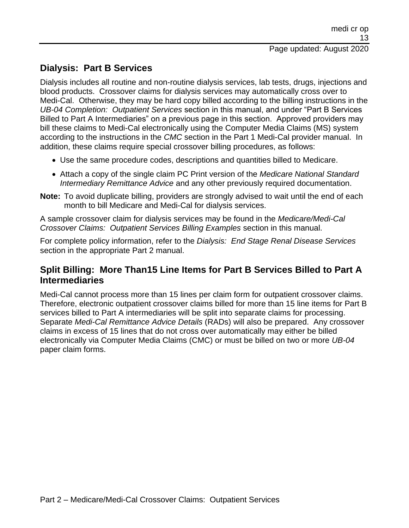# **Dialysis: Part B Services**

Dialysis includes all routine and non-routine dialysis services, lab tests, drugs, injections and blood products. Crossover claims for dialysis services may automatically cross over to Medi-Cal. Otherwise, they may be hard copy billed according to the billing instructions in the *UB-04 Completion: Outpatient Services* section in this manual, and under "Part B Services Billed to Part A Intermediaries" on a previous page in this section. Approved providers may bill these claims to Medi-Cal electronically using the Computer Media Claims (MS) system according to the instructions in the *CMC* section in the Part 1 Medi-Cal provider manual. In addition, these claims require special crossover billing procedures, as follows:

- Use the same procedure codes, descriptions and quantities billed to Medicare.
- Attach a copy of the single claim PC Print version of the *Medicare National Standard Intermediary Remittance Advice* and any other previously required documentation.
- **Note:** To avoid duplicate billing, providers are strongly advised to wait until the end of each month to bill Medicare and Medi-Cal for dialysis services.

A sample crossover claim for dialysis services may be found in the *Medicare/Medi-Cal Crossover Claims: Outpatient Services Billing Examples* section in this manual.

For complete policy information, refer to the *Dialysis: End Stage Renal Disease Services* section in the appropriate Part 2 manual.

# **Split Billing: More Than15 Line Items for Part B Services Billed to Part A Intermediaries**

Medi-Cal cannot process more than 15 lines per claim form for outpatient crossover claims. Therefore, electronic outpatient crossover claims billed for more than 15 line items for Part B services billed to Part A intermediaries will be split into separate claims for processing. Separate *Medi-Cal Remittance Advice Details* (RADs) will also be prepared. Any crossover claims in excess of 15 lines that do not cross over automatically may either be billed electronically via Computer Media Claims (CMC) or must be billed on two or more *UB-04* paper claim forms.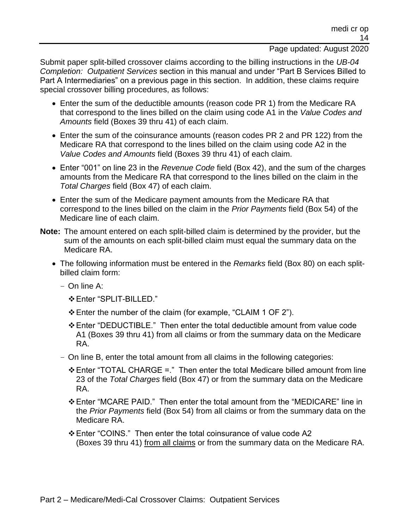Submit paper split-billed crossover claims according to the billing instructions in the *UB-04 Completion: Outpatient Services* section in this manual and under "Part B Services Billed to Part A Intermediaries" on a previous page in this section. In addition, these claims require special crossover billing procedures, as follows:

- Enter the sum of the deductible amounts (reason code PR 1) from the Medicare RA that correspond to the lines billed on the claim using code A1 in the *Value Codes and Amounts* field (Boxes 39 thru 41) of each claim.
- Enter the sum of the coinsurance amounts (reason codes PR 2 and PR 122) from the Medicare RA that correspond to the lines billed on the claim using code A2 in the *Value Codes and Amounts* field (Boxes 39 thru 41) of each claim.
- Enter "001" on line 23 in the *Revenue Code* field (Box 42), and the sum of the charges amounts from the Medicare RA that correspond to the lines billed on the claim in the *Total Charges* field (Box 47) of each claim.
- Enter the sum of the Medicare payment amounts from the Medicare RA that correspond to the lines billed on the claim in the *Prior Payments* field (Box 54) of the Medicare line of each claim.
- **Note:** The amount entered on each split-billed claim is determined by the provider, but the sum of the amounts on each split-billed claim must equal the summary data on the Medicare RA.
	- The following information must be entered in the *Remarks* field (Box 80) on each splitbilled claim form:
		- On line A:
			- ❖Enter "SPLIT-BILLED."
			- ❖Enter the number of the claim (for example, "CLAIM 1 OF 2").
			- ❖Enter "DEDUCTIBLE." Then enter the total deductible amount from value code A1 (Boxes 39 thru 41) from all claims or from the summary data on the Medicare RA.
		- On line B, enter the total amount from all claims in the following categories:
			- ❖Enter "TOTAL CHARGE =." Then enter the total Medicare billed amount from line 23 of the *Total Charges* field (Box 47) or from the summary data on the Medicare RA.
			- ❖Enter "MCARE PAID." Then enter the total amount from the "MEDICARE" line in the *Prior Payments* field (Box 54) from all claims or from the summary data on the Medicare RA.
			- ❖Enter "COINS." Then enter the total coinsurance of value code A2 (Boxes 39 thru 41) from all claims or from the summary data on the Medicare RA.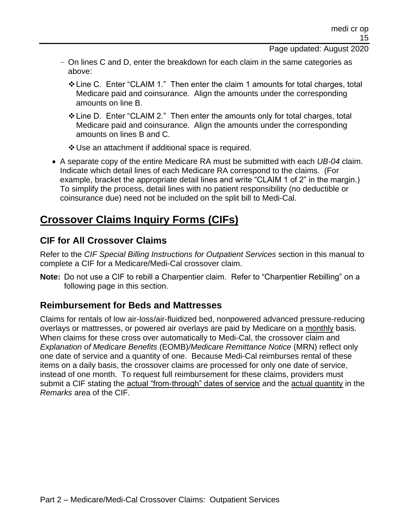- On lines C and D, enter the breakdown for each claim in the same categories as above:
	- ❖Line C. Enter "CLAIM 1." Then enter the claim 1 amounts for total charges, total Medicare paid and coinsurance. Align the amounts under the corresponding amounts on line B.
	- ❖Line D. Enter "CLAIM 2." Then enter the amounts only for total charges, total Medicare paid and coinsurance. Align the amounts under the corresponding amounts on lines B and C.
	- ❖Use an attachment if additional space is required.
- A separate copy of the entire Medicare RA must be submitted with each *UB-04* claim. Indicate which detail lines of each Medicare RA correspond to the claims. (For example, bracket the appropriate detail lines and write "CLAIM 1 of 2" in the margin.) To simplify the process, detail lines with no patient responsibility (no deductible or coinsurance due) need not be included on the split bill to Medi-Cal.

# **Crossover Claims Inquiry Forms (CIFs)**

# **CIF for All Crossover Claims**

Refer to the *CIF Special Billing Instructions for Outpatient Services* section in this manual to complete a CIF for a Medicare/Medi-Cal crossover claim.

**Note:** Do not use a CIF to rebill a Charpentier claim. Refer to "Charpentier Rebilling" on a following page in this section.

# **Reimbursement for Beds and Mattresses**

Claims for rentals of low air-loss/air-fluidized bed, nonpowered advanced pressure-reducing overlays or mattresses, or powered air overlays are paid by Medicare on a monthly basis. When claims for these cross over automatically to Medi-Cal, the crossover claim and *Explanation of Medicare Benefits* (EOMB)*/Medicare Remittance Notice* (MRN) reflect only one date of service and a quantity of one. Because Medi-Cal reimburses rental of these items on a daily basis, the crossover claims are processed for only one date of service, instead of one month. To request full reimbursement for these claims, providers must submit a CIF stating the actual "from-through" dates of service and the actual quantity in the *Remarks* area of the CIF.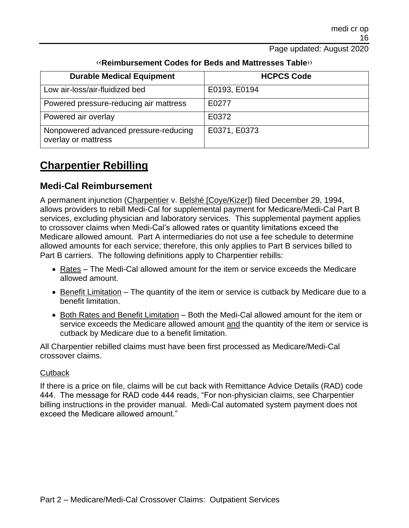| <b>Durable Medical Equipment</b>                             | <b>HCPCS Code</b> |
|--------------------------------------------------------------|-------------------|
| Low air-loss/air-fluidized bed                               | E0193, E0194      |
| Powered pressure-reducing air mattress                       | E0277             |
| Powered air overlay                                          | E0372             |
| Nonpowered advanced pressure-reducing<br>overlay or mattress | E0371, E0373      |

## [‹‹](#page-26-0)**Reimbursement Codes for Beds and Mattresses Table**[››](#page-26-1)

# **Charpentier Rebilling**

# **Medi-Cal Reimbursement**

A permanent injunction (Charpentier v. Belshé [Coye/Kizer]) filed December 29, 1994, allows providers to rebill Medi-Cal for supplemental payment for Medicare/Medi-Cal Part B services, excluding physician and laboratory services. This supplemental payment applies to crossover claims when Medi-Cal's allowed rates or quantity limitations exceed the Medicare allowed amount. Part A intermediaries do not use a fee schedule to determine allowed amounts for each service; therefore, this only applies to Part B services billed to Part B carriers. The following definitions apply to Charpentier rebills:

- Rates The Medi-Cal allowed amount for the item or service exceeds the Medicare allowed amount.
- Benefit Limitation The quantity of the item or service is cutback by Medicare due to a benefit limitation.
- Both Rates and Benefit Limitation Both the Medi-Cal allowed amount for the item or service exceeds the Medicare allowed amount and the quantity of the item or service is cutback by Medicare due to a benefit limitation.

All Charpentier rebilled claims must have been first processed as Medicare/Medi-Cal crossover claims.

## **Cutback**

If there is a price on file, claims will be cut back with Remittance Advice Details (RAD) code 444. The message for RAD code 444 reads, "For non-physician claims, see Charpentier billing instructions in the provider manual. Medi-Cal automated system payment does not exceed the Medicare allowed amount."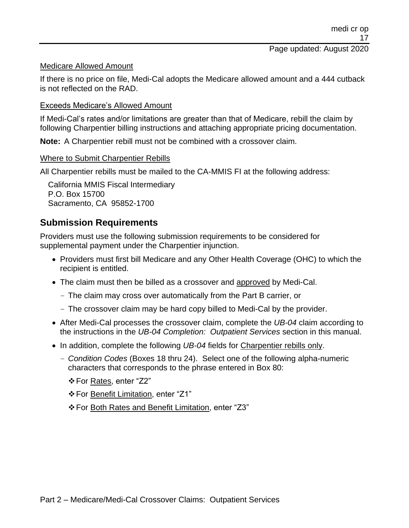### Medicare Allowed Amount

If there is no price on file, Medi-Cal adopts the Medicare allowed amount and a 444 cutback is not reflected on the RAD.

### Exceeds Medicare's Allowed Amount

If Medi-Cal's rates and/or limitations are greater than that of Medicare, rebill the claim by following Charpentier billing instructions and attaching appropriate pricing documentation.

**Note:** A Charpentier rebill must not be combined with a crossover claim.

### Where to Submit Charpentier Rebills

All Charpentier rebills must be mailed to the CA-MMIS FI at the following address:

California MMIS Fiscal Intermediary P.O. Box 15700 Sacramento, CA 95852-1700

# **Submission Requirements**

Providers must use the following submission requirements to be considered for supplemental payment under the Charpentier injunction.

- Providers must first bill Medicare and any Other Health Coverage (OHC) to which the recipient is entitled.
- The claim must then be billed as a crossover and approved by Medi-Cal.
	- The claim may cross over automatically from the Part B carrier, or
	- The crossover claim may be hard copy billed to Medi-Cal by the provider.
- After Medi-Cal processes the crossover claim, complete the *UB-04* claim according to the instructions in the *UB-04 Completion: Outpatient Services* section in this manual.
- In addition, complete the following *UB-04* fields for Charpentier rebills only.
	- *Condition Codes* (Boxes 18 thru 24). Select one of the following alpha-numeric characters that corresponds to the phrase entered in Box 80:
		- ❖For Rates, enter "Z2"
		- ❖For Benefit Limitation, enter "Z1"
		- ❖For Both Rates and Benefit Limitation, enter "Z3"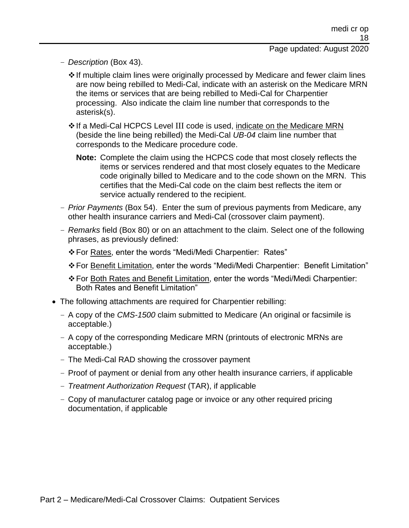- *Description* (Box 43).
	- ❖If multiple claim lines were originally processed by Medicare and fewer claim lines are now being rebilled to Medi-Cal, indicate with an asterisk on the Medicare MRN the items or services that are being rebilled to Medi-Cal for Charpentier processing. Also indicate the claim line number that corresponds to the asterisk(s).
	- ❖If a Medi-Cal HCPCS Level III code is used, indicate on the Medicare MRN (beside the line being rebilled) the Medi-Cal *UB-04* claim line number that corresponds to the Medicare procedure code.
		- **Note:** Complete the claim using the HCPCS code that most closely reflects the items or services rendered and that most closely equates to the Medicare code originally billed to Medicare and to the code shown on the MRN. This certifies that the Medi-Cal code on the claim best reflects the item or service actually rendered to the recipient.
- *Prior Payments* (Box 54). Enter the sum of previous payments from Medicare, any other health insurance carriers and Medi-Cal (crossover claim payment).
- *Remarks* field (Box 80) or on an attachment to the claim. Select one of the following phrases, as previously defined:
	- ❖For Rates, enter the words "Medi/Medi Charpentier: Rates"
	- ❖For Benefit Limitation, enter the words "Medi/Medi Charpentier: Benefit Limitation"
	- ❖For Both Rates and Benefit Limitation, enter the words "Medi/Medi Charpentier: Both Rates and Benefit Limitation"
- The following attachments are required for Charpentier rebilling:
	- A copy of the *CMS-1500* claim submitted to Medicare (An original or facsimile is acceptable.)
	- A copy of the corresponding Medicare MRN (printouts of electronic MRNs are acceptable.)
	- The Medi-Cal RAD showing the crossover payment
	- Proof of payment or denial from any other health insurance carriers, if applicable
	- *Treatment Authorization Request* (TAR), if applicable
	- Copy of manufacturer catalog page or invoice or any other required pricing documentation, if applicable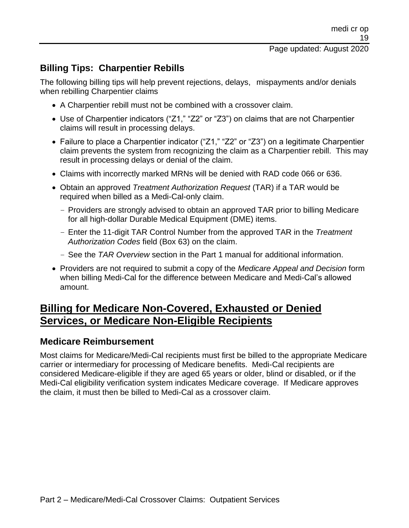# **Billing Tips: Charpentier Rebills**

The following billing tips will help prevent rejections, delays, mispayments and/or denials when rebilling Charpentier claims

- A Charpentier rebill must not be combined with a crossover claim.
- Use of Charpentier indicators ("Z1," "Z2" or "Z3") on claims that are not Charpentier claims will result in processing delays.
- Failure to place a Charpentier indicator ("Z1," "Z2" or "Z3") on a legitimate Charpentier claim prevents the system from recognizing the claim as a Charpentier rebill. This may result in processing delays or denial of the claim.
- Claims with incorrectly marked MRNs will be denied with RAD code 066 or 636.
- Obtain an approved *Treatment Authorization Request* (TAR) if a TAR would be required when billed as a Medi-Cal-only claim.
	- Providers are strongly advised to obtain an approved TAR prior to billing Medicare for all high-dollar Durable Medical Equipment (DME) items.
	- Enter the 11-digit TAR Control Number from the approved TAR in the *Treatment Authorization Codes* field (Box 63) on the claim.
	- See the *TAR Overview* section in the Part 1 manual for additional information.
- Providers are not required to submit a copy of the *Medicare Appeal and Decision* form when billing Medi-Cal for the difference between Medicare and Medi-Cal's allowed amount.

# **Billing for Medicare Non-Covered, Exhausted or Denied Services, or Medicare Non-Eligible Recipients**

## **Medicare Reimbursement**

Most claims for Medicare/Medi-Cal recipients must first be billed to the appropriate Medicare carrier or intermediary for processing of Medicare benefits. Medi-Cal recipients are considered Medicare-eligible if they are aged 65 years or older, blind or disabled, or if the Medi-Cal eligibility verification system indicates Medicare coverage. If Medicare approves the claim, it must then be billed to Medi-Cal as a crossover claim.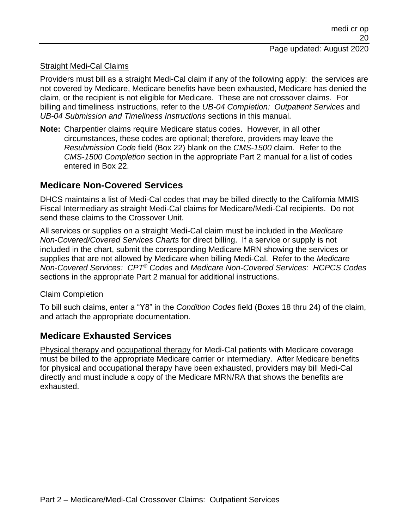### Straight Medi-Cal Claims

Providers must bill as a straight Medi-Cal claim if any of the following apply: the services are not covered by Medicare, Medicare benefits have been exhausted, Medicare has denied the claim, or the recipient is not eligible for Medicare. These are not crossover claims. For billing and timeliness instructions, refer to the *UB-04 Completion: Outpatient Services* and *UB-04 Submission and Timeliness Instructions* sections in this manual.

**Note:** Charpentier claims require Medicare status codes. However, in all other circumstances, these codes are optional; therefore, providers may leave the *Resubmission Code* field (Box 22) blank on the *CMS-1500* claim. Refer to the *CMS-1500 Completion* section in the appropriate Part 2 manual for a list of codes entered in Box 22.

## **Medicare Non-Covered Services**

DHCS maintains a list of Medi-Cal codes that may be billed directly to the California MMIS Fiscal Intermediary as straight Medi-Cal claims for Medicare/Medi-Cal recipients. Do not send these claims to the Crossover Unit.

All services or supplies on a straight Medi-Cal claim must be included in the *Medicare Non-Covered/Covered Services Charts* for direct billing. If a service or supply is not included in the chart, submit the corresponding Medicare MRN showing the services or supplies that are not allowed by Medicare when billing Medi-Cal. Refer to the *Medicare Non-Covered Services: CPT® Codes* and *Medicare Non-Covered Services: HCPCS Codes* sections in the appropriate Part 2 manual for additional instructions.

### Claim Completion

To bill such claims, enter a "Y8" in the *Condition Codes* field (Boxes 18 thru 24) of the claim, and attach the appropriate documentation.

## **Medicare Exhausted Services**

Physical therapy and occupational therapy for Medi-Cal patients with Medicare coverage must be billed to the appropriate Medicare carrier or intermediary. After Medicare benefits for physical and occupational therapy have been exhausted, providers may bill Medi-Cal directly and must include a copy of the Medicare MRN/RA that shows the benefits are exhausted.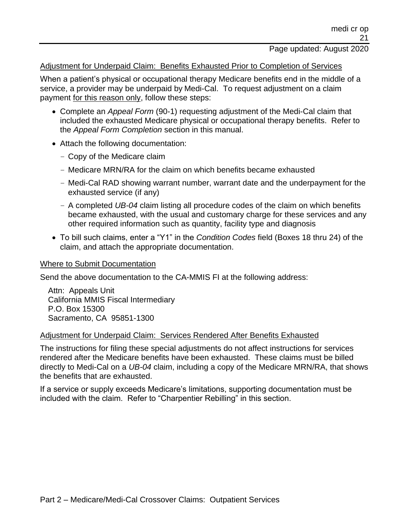#### Adjustment for Underpaid Claim: Benefits Exhausted Prior to Completion of Services

When a patient's physical or occupational therapy Medicare benefits end in the middle of a service, a provider may be underpaid by Medi-Cal. To request adjustment on a claim payment for this reason only, follow these steps:

- Complete an *Appeal Form* (90-1) requesting adjustment of the Medi-Cal claim that included the exhausted Medicare physical or occupational therapy benefits. Refer to the *Appeal Form Completion* section in this manual.
- Attach the following documentation:
	- Copy of the Medicare claim
	- Medicare MRN/RA for the claim on which benefits became exhausted
	- Medi-Cal RAD showing warrant number, warrant date and the underpayment for the exhausted service (if any)
	- A completed *UB-04* claim listing all procedure codes of the claim on which benefits became exhausted, with the usual and customary charge for these services and any other required information such as quantity, facility type and diagnosis
- To bill such claims, enter a "Y1" in the *Condition Codes* field (Boxes 18 thru 24) of the claim, and attach the appropriate documentation.

#### Where to Submit Documentation

Send the above documentation to the CA-MMIS FI at the following address:

Attn: Appeals Unit California MMIS Fiscal Intermediary P.O. Box 15300 Sacramento, CA 95851-1300

#### Adjustment for Underpaid Claim: Services Rendered After Benefits Exhausted

The instructions for filing these special adjustments do not affect instructions for services rendered after the Medicare benefits have been exhausted. These claims must be billed directly to Medi-Cal on a *UB-04* claim, including a copy of the Medicare MRN/RA, that shows the benefits that are exhausted.

If a service or supply exceeds Medicare's limitations, supporting documentation must be included with the claim. Refer to "Charpentier Rebilling" in this section.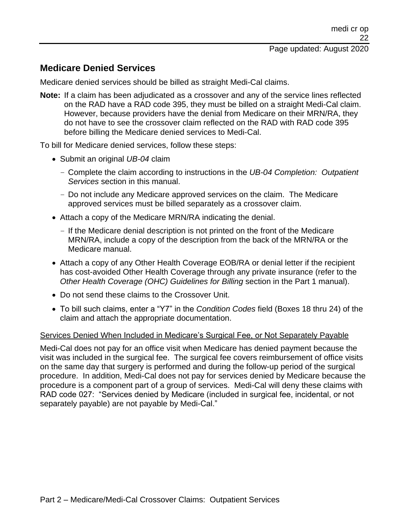# **Medicare Denied Services**

Medicare denied services should be billed as straight Medi-Cal claims.

**Note:** If a claim has been adjudicated as a crossover and any of the service lines reflected on the RAD have a RAD code 395, they must be billed on a straight Medi-Cal claim. However, because providers have the denial from Medicare on their MRN/RA, they do not have to see the crossover claim reflected on the RAD with RAD code 395 before billing the Medicare denied services to Medi-Cal.

To bill for Medicare denied services, follow these steps:

- Submit an original *UB-04* claim
	- Complete the claim according to instructions in the *UB-04 Completion: Outpatient Services* section in this manual.
	- Do not include any Medicare approved services on the claim. The Medicare approved services must be billed separately as a crossover claim.
- Attach a copy of the Medicare MRN/RA indicating the denial.
	- If the Medicare denial description is not printed on the front of the Medicare MRN/RA, include a copy of the description from the back of the MRN/RA or the Medicare manual.
- Attach a copy of any Other Health Coverage EOB/RA or denial letter if the recipient has cost-avoided Other Health Coverage through any private insurance (refer to the *Other Health Coverage (OHC) Guidelines for Billing* section in the Part 1 manual).
- Do not send these claims to the Crossover Unit.
- To bill such claims, enter a "Y7" in the *Condition Codes* field (Boxes 18 thru 24) of the claim and attach the appropriate documentation.

### Services Denied When Included in Medicare's Surgical Fee, or Not Separately Payable

Medi-Cal does not pay for an office visit when Medicare has denied payment because the visit was included in the surgical fee. The surgical fee covers reimbursement of office visits on the same day that surgery is performed and during the follow-up period of the surgical procedure. In addition, Medi-Cal does not pay for services denied by Medicare because the procedure is a component part of a group of services. Medi-Cal will deny these claims with RAD code 027: "Services denied by Medicare (included in surgical fee, incidental, or not separately payable) are not payable by Medi-Cal."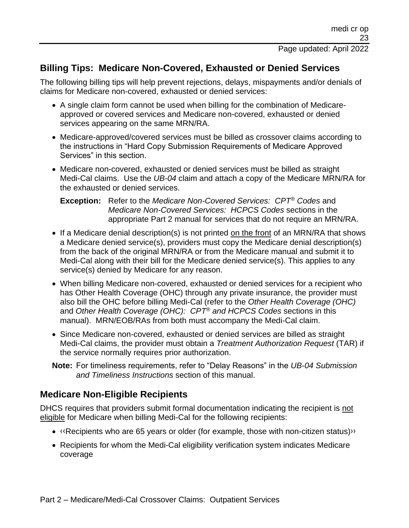# **Billing Tips: Medicare Non-Covered, Exhausted or Denied Services**

The following billing tips will help prevent rejections, delays, mispayments and/or denials of claims for Medicare non-covered, exhausted or denied services:

- A single claim form cannot be used when billing for the combination of Medicareapproved or covered services and Medicare non-covered, exhausted or denied services appearing on the same MRN/RA.
- Medicare-approved/covered services must be billed as crossover claims according to the instructions in "Hard Copy Submission Requirements of Medicare Approved Services" in this section.
- Medicare non-covered, exhausted or denied services must be billed as straight Medi-Cal claims. Use the *UB-04* claim and attach a copy of the Medicare MRN/RA for the exhausted or denied services.

### **Exception:** Refer to the *Medicare Non-Covered Services: CPT® Codes* and *Medicare Non-Covered Services: HCPCS Codes* sections in the appropriate Part 2 manual for services that do not require an MRN/RA.

- If a Medicare denial description(s) is not printed on the front of an MRN/RA that shows a Medicare denied service(s), providers must copy the Medicare denial description(s) from the back of the original MRN/RA or from the Medicare manual and submit it to Medi-Cal along with their bill for the Medicare denied service(s). This applies to any service(s) denied by Medicare for any reason.
- When billing Medicare non-covered, exhausted or denied services for a recipient who has Other Health Coverage (OHC) through any private insurance, the provider must also bill the OHC before billing Medi-Cal (refer to the *Other Health Coverage (OHC)* and *Other Health Coverage (OHC): CPT® and HCPCS Codes* sections in this manual). MRN/EOB/RAs from both must accompany the Medi-Cal claim.
- Since Medicare non-covered, exhausted or denied services are billed as straight Medi-Cal claims, the provider must obtain a *Treatment Authorization Request* (TAR) if the service normally requires prior authorization.
- **Note:** For timeliness requirements, refer to "Delay Reasons" in the *UB-04 Submission and Timeliness Instructions* section of this manual.

# **Medicare Non-Eligible Recipients**

DHCS requires that providers submit formal documentation indicating the recipient is not eligible for Medicare when billing Medi-Cal for the following recipients:

- [‹‹R](#page-26-0)ecipients who are 65 years or older (for example, those with non-citizen status[\)››](#page-26-1)
- Recipients for whom the Medi-Cal eligibility verification system indicates Medicare coverage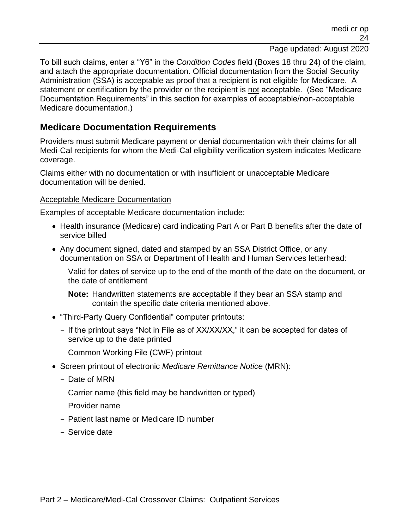To bill such claims, enter a "Y6" in the *Condition Codes* field (Boxes 18 thru 24) of the claim, and attach the appropriate documentation. Official documentation from the Social Security Administration (SSA) is acceptable as proof that a recipient is not eligible for Medicare. A statement or certification by the provider or the recipient is not acceptable. (See "Medicare Documentation Requirements" in this section for examples of acceptable/non-acceptable Medicare documentation.)

## **Medicare Documentation Requirements**

Providers must submit Medicare payment or denial documentation with their claims for all Medi-Cal recipients for whom the Medi-Cal eligibility verification system indicates Medicare coverage.

Claims either with no documentation or with insufficient or unacceptable Medicare documentation will be denied.

### Acceptable Medicare Documentation

Examples of acceptable Medicare documentation include:

- Health insurance (Medicare) card indicating Part A or Part B benefits after the date of service billed
- Any document signed, dated and stamped by an SSA District Office, or any documentation on SSA or Department of Health and Human Services letterhead:
	- Valid for dates of service up to the end of the month of the date on the document, or the date of entitlement

**Note:** Handwritten statements are acceptable if they bear an SSA stamp and contain the specific date criteria mentioned above.

- "Third-Party Query Confidential" computer printouts:
	- If the printout says "Not in File as of XX/XX/XX," it can be accepted for dates of service up to the date printed
	- Common Working File (CWF) printout
- Screen printout of electronic *Medicare Remittance Notice* (MRN):
	- Date of MRN
	- Carrier name (this field may be handwritten or typed)
	- Provider name
	- Patient last name or Medicare ID number
	- Service date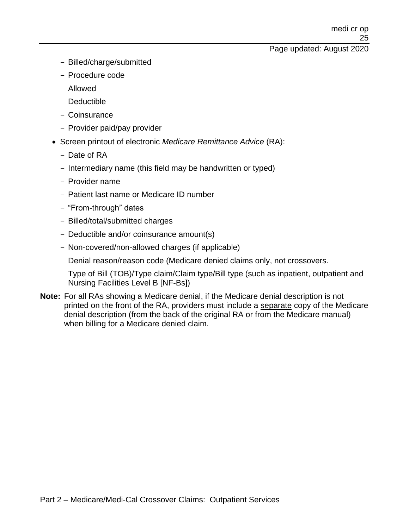- Billed/charge/submitted
- Procedure code
- Allowed
- Deductible
- Coinsurance
- Provider paid/pay provider
- Screen printout of electronic *Medicare Remittance Advice* (RA):
	- Date of RA
	- Intermediary name (this field may be handwritten or typed)
	- Provider name
	- Patient last name or Medicare ID number
	- "From-through" dates
	- Billed/total/submitted charges
	- Deductible and/or coinsurance amount(s)
	- Non-covered/non-allowed charges (if applicable)
	- Denial reason/reason code (Medicare denied claims only, not crossovers.
	- Type of Bill (TOB)/Type claim/Claim type/Bill type (such as inpatient, outpatient and Nursing Facilities Level B [NF-Bs])
- **Note:** For all RAs showing a Medicare denial, if the Medicare denial description is not printed on the front of the RA, providers must include a separate copy of the Medicare denial description (from the back of the original RA or from the Medicare manual) when billing for a Medicare denied claim.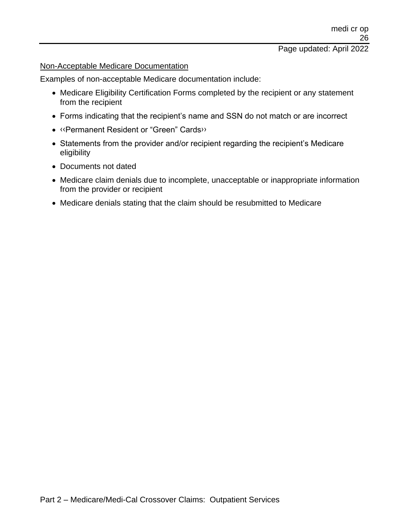### Page updated: April 2022

#### Non-Acceptable Medicare Documentation

Examples of non-acceptable Medicare documentation include:

- Medicare Eligibility Certification Forms completed by the recipient or any statement from the recipient
- Forms indicating that the recipient's name and SSN do not match or are incorrect
- [‹‹P](#page-26-0)ermanent Resident or "Green" Card[s››](#page-26-1)
- Statements from the provider and/or recipient regarding the recipient's Medicare eligibility
- Documents not dated
- Medicare claim denials due to incomplete, unacceptable or inappropriate information from the provider or recipient
- Medicare denials stating that the claim should be resubmitted to Medicare